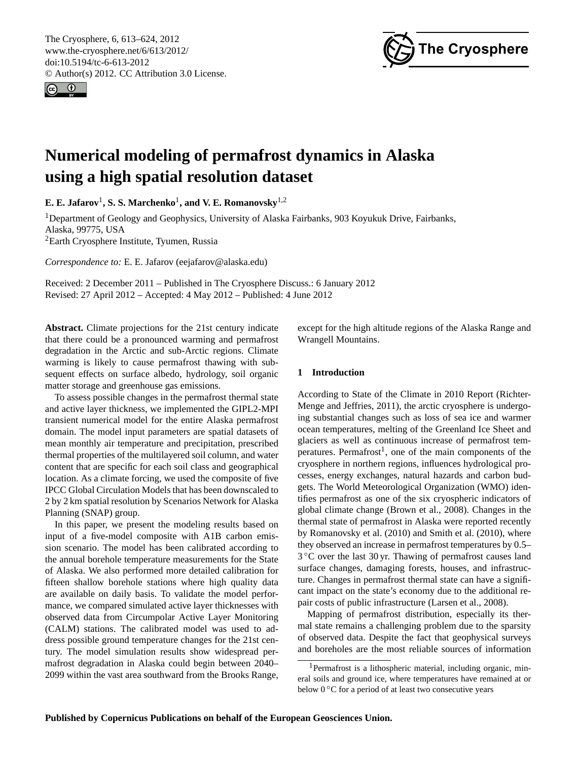<span id="page-0-1"></span>The Cryosphere, 6, 613–624, 2012 www.the-cryosphere.net/6/613/2012/ doi:10.5194/tc-6-613-2012 © Author(s) 2012. CC Attribution 3.0 License.





# **Numerical modeling of permafrost dynamics in Alaska using a high spatial resolution dataset**

 $\mathbf{E.}\ \mathbf{E.}\ \mathbf{Jafarov}^{1}, \mathbf{S.}\ \mathbf{S.}\ \mathbf{Marchenko}^{1}, \mathbf{and}\ \mathbf{V.}\ \mathbf{E.}\ \mathbf{Romanovsky}^{1,2}$ 

<sup>1</sup>Department of Geology and Geophysics, University of Alaska Fairbanks, 903 Koyukuk Drive, Fairbanks, Alaska, 99775, USA <sup>2</sup>Earth Cryosphere Institute, Tyumen, Russia

*Correspondence to:* E. E. Jafarov (eejafarov@alaska.edu)

Received: 2 December 2011 – Published in The Cryosphere Discuss.: 6 January 2012 Revised: 27 April 2012 – Accepted: 4 May 2012 – Published: 4 June 2012

**Abstract.** Climate projections for the 21st century indicate that there could be a pronounced warming and permafrost degradation in the Arctic and sub-Arctic regions. Climate warming is likely to cause permafrost thawing with subsequent effects on surface albedo, hydrology, soil organic matter storage and greenhouse gas emissions.

To assess possible changes in the permafrost thermal state and active layer thickness, we implemented the GIPL2-MPI transient numerical model for the entire Alaska permafrost domain. The model input parameters are spatial datasets of mean monthly air temperature and precipitation, prescribed thermal properties of the multilayered soil column, and water content that are specific for each soil class and geographical location. As a climate forcing, we used the composite of five IPCC Global Circulation Models that has been downscaled to 2 by 2 km spatial resolution by Scenarios Network for Alaska Planning (SNAP) group.

In this paper, we present the modeling results based on input of a five-model composite with A1B carbon emission scenario. The model has been calibrated according to the annual borehole temperature measurements for the State of Alaska. We also performed more detailed calibration for fifteen shallow borehole stations where high quality data are available on daily basis. To validate the model performance, we compared simulated active layer thicknesses with observed data from Circumpolar Active Layer Monitoring (CALM) stations. The calibrated model was used to address possible ground temperature changes for the 21st century. The model simulation results show widespread permafrost degradation in Alaska could begin between 2040– 2099 within the vast area southward from the Brooks Range, except for the high altitude regions of the Alaska Range and Wrangell Mountains.

# **1 Introduction**

According to State of the Climate in 2010 Report [\(Richter-](#page-10-0)[Menge and Jeffries,](#page-10-0) [2011\)](#page-10-0), the arctic cryosphere is undergoing substantial changes such as loss of sea ice and warmer ocean temperatures, melting of the Greenland Ice Sheet and glaciers as well as continuous increase of permafrost tem-peratures. Permafrost<sup>[1](#page-0-0)</sup>, one of the main components of the cryosphere in northern regions, influences hydrological processes, energy exchanges, natural hazards and carbon budgets. The World Meteorological Organization (WMO) identifies permafrost as one of the six cryospheric indicators of global climate change [\(Brown et al.,](#page-10-1) [2008\)](#page-10-1). Changes in the thermal state of permafrost in Alaska were reported recently by [Romanovsky et al.](#page-10-2) [\(2010\)](#page-10-2) and [Smith et al.](#page-11-0) [\(2010\)](#page-11-0), where they observed an increase in permafrost temperatures by 0.5– 3 ◦C over the last 30 yr. Thawing of permafrost causes land surface changes, damaging forests, houses, and infrastructure. Changes in permafrost thermal state can have a significant impact on the state's economy due to the additional repair costs of public infrastructure [\(Larsen et al.,](#page-10-3) [2008\)](#page-10-3).

Mapping of permafrost distribution, especially its thermal state remains a challenging problem due to the sparsity of observed data. Despite the fact that geophysical surveys and boreholes are the most reliable sources of information

<span id="page-0-0"></span><sup>1</sup>Permafrost is a lithospheric material, including organic, mineral soils and ground ice, where temperatures have remained at or below 0 ℃ for a period of at least two consecutive years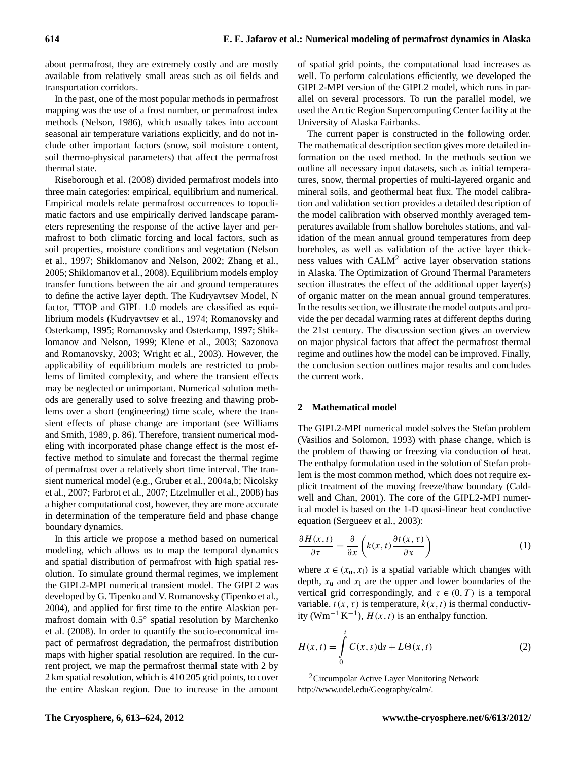about permafrost, they are extremely costly and are mostly available from relatively small areas such as oil fields and transportation corridors.

In the past, one of the most popular methods in permafrost mapping was the use of a frost number, or permafrost index methods [\(Nelson,](#page-10-4) [1986\)](#page-10-4), which usually takes into account seasonal air temperature variations explicitly, and do not include other important factors (snow, soil moisture content, soil thermo-physical parameters) that affect the permafrost thermal state.

[Riseborough et al.](#page-10-5) [\(2008\)](#page-10-5) divided permafrost models into three main categories: empirical, equilibrium and numerical. Empirical models relate permafrost occurrences to topoclimatic factors and use empirically derived landscape parameters representing the response of the active layer and permafrost to both climatic forcing and local factors, such as soil properties, moisture conditions and vegetation [\(Nelson](#page-10-6) [et al.,](#page-10-6) [1997;](#page-10-6) [Shiklomanov and Nelson,](#page-11-1) [2002;](#page-11-1) [Zhang et al.,](#page-11-2) [2005;](#page-11-2) [Shiklomanov et al.,](#page-11-3) [2008\)](#page-11-3). Equilibrium models employ transfer functions between the air and ground temperatures to define the active layer depth. The Kudryavtsev Model, N factor, TTOP and GIPL 1.0 models are classified as equilibrium models [\(Kudryavtsev et al.,](#page-10-7) [1974;](#page-10-7) [Romanovsky and](#page-10-8) [Osterkamp,](#page-10-8) [1995;](#page-10-8) [Romanovsky and Osterkamp,](#page-10-9) [1997;](#page-10-9) [Shik](#page-11-4)[lomanov and Nelson,](#page-11-4) [1999;](#page-11-4) [Klene et al.,](#page-10-10) [2003;](#page-10-10) [Sazonova](#page-10-11) [and Romanovsky,](#page-10-11) [2003;](#page-10-11) [Wright et al.,](#page-11-5) [2003\)](#page-11-5). However, the applicability of equilibrium models are restricted to problems of limited complexity, and where the transient effects may be neglected or unimportant. Numerical solution methods are generally used to solve freezing and thawing problems over a short (engineering) time scale, where the transient effects of phase change are important (see [Williams](#page-11-6) [and Smith,](#page-11-6) [1989,](#page-11-6) p. 86). Therefore, transient numerical modeling with incorporated phase change effect is the most effective method to simulate and forecast the thermal regime of permafrost over a relatively short time interval. The transient numerical model (e.g., [Gruber et al.,](#page-10-12) [2004a](#page-10-12)[,b;](#page-10-13) [Nicolsky](#page-10-14) [et al.,](#page-10-14) [2007;](#page-10-14) [Farbrot et al.,](#page-10-15) [2007;](#page-10-15) [Etzelmuller et al.,](#page-10-16) [2008\)](#page-10-16) has a higher computational cost, however, they are more accurate in determination of the temperature field and phase change boundary dynamics.

In this article we propose a method based on numerical modeling, which allows us to map the temporal dynamics and spatial distribution of permafrost with high spatial resolution. To simulate ground thermal regimes, we implement the GIPL2-MPI numerical transient model. The GIPL2 was developed by G. Tipenko and V. Romanovsky [\(Tipenko et al.,](#page-11-7) [2004\)](#page-11-7), and applied for first time to the entire Alaskian permafrost domain with 0.5◦ spatial resolution by [Marchenko](#page-10-17) [et al.](#page-10-17) [\(2008\)](#page-10-17). In order to quantify the socio-economical impact of permafrost degradation, the permafrost distribution maps with higher spatial resolution are required. In the current project, we map the permafrost thermal state with 2 by 2 km spatial resolution, which is 410 205 grid points, to cover the entire Alaskan region. Due to increase in the amount of spatial grid points, the computational load increases as well. To perform calculations efficiently, we developed the GIPL2-MPI version of the GIPL2 model, which runs in parallel on several processors. To run the parallel model, we used the Arctic Region Supercomputing Center facility at the University of Alaska Fairbanks.

The current paper is constructed in the following order. The mathematical description section gives more detailed information on the used method. In the methods section we outline all necessary input datasets, such as initial temperatures, snow, thermal properties of multi-layered organic and mineral soils, and geothermal heat flux. The model calibration and validation section provides a detailed description of the model calibration with observed monthly averaged temperatures available from shallow boreholes stations, and validation of the mean annual ground temperatures from deep boreholes, as well as validation of the active layer thickness values with  $CALM<sup>2</sup>$  $CALM<sup>2</sup>$  $CALM<sup>2</sup>$  active layer observation stations in Alaska. The Optimization of Ground Thermal Parameters section illustrates the effect of the additional upper layer(s) of organic matter on the mean annual ground temperatures. In the results section, we illustrate the model outputs and provide the per decadal warming rates at different depths during the 21st century. The discussion section gives an overview on major physical factors that affect the permafrost thermal regime and outlines how the model can be improved. Finally, the conclusion section outlines major results and concludes the current work.

## **2 Mathematical model**

The GIPL2-MPI numerical model solves the Stefan problem [\(Vasilios and Solomon,](#page-11-8) [1993\)](#page-11-8) with phase change, which is the problem of thawing or freezing via conduction of heat. The enthalpy formulation used in the solution of Stefan problem is the most common method, which does not require explicit treatment of the moving freeze/thaw boundary [\(Cald](#page-10-18)[well and Chan,](#page-10-18) [2001\)](#page-10-18). The core of the GIPL2-MPI numerical model is based on the 1-D quasi-linear heat conductive equation [\(Sergueev et al.,](#page-10-19) [2003\)](#page-10-19):

<span id="page-1-1"></span>
$$
\frac{\partial H(x,t)}{\partial \tau} = \frac{\partial}{\partial x} \left( k(x,t) \frac{\partial t(x,\tau)}{\partial x} \right) \tag{1}
$$

where  $x \in (x_{u}, x_{1})$  is a spatial variable which changes with depth,  $x_u$  and  $x_l$  are the upper and lower boundaries of the vertical grid correspondingly, and  $\tau \in (0, T)$  is a temporal variable.  $t(x, \tau)$  is temperature,  $k(x, t)$  is thermal conductivity (Wm<sup>-1</sup>K<sup>-1</sup>),  $H(x,t)$  is an enthalpy function.

$$
H(x,t) = \int_{0}^{t} C(x,s)ds + L\Theta(x,t)
$$
 (2)

<span id="page-1-0"></span><sup>&</sup>lt;sup>2</sup>Circumpolar Active Layer Monitoring Network [http://www.udel.edu/Geography/calm/.](http://www.udel.edu/Geography/calm/)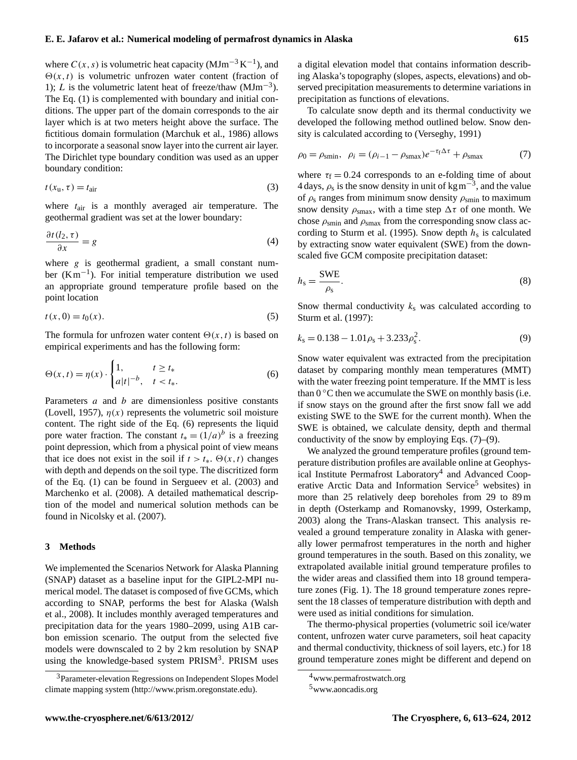where  $C(x, s)$  is volumetric heat capacity (MJm<sup>-3</sup> K<sup>-1</sup>), and  $\Theta(x,t)$  is volumetric unfrozen water content (fraction of 1); L is the volumetric latent heat of freeze/thaw  $(MJm^{-3})$ . The Eq. [\(1\)](#page-1-1) is complemented with boundary and initial conditions. The upper part of the domain corresponds to the air layer which is at two meters height above the surface. The fictitious domain formulation [\(Marchuk et al.,](#page-10-20) [1986\)](#page-10-20) allows to incorporate a seasonal snow layer into the current air layer. The Dirichlet type boundary condition was used as an upper boundary condition:

$$
t(x_{\rm u},\tau) = t_{\rm air} \tag{3}
$$

where  $t_{\text{air}}$  is a monthly averaged air temperature. The geothermal gradient was set at the lower boundary:

$$
\frac{\partial t(l_2, \tau)}{\partial x} = g \tag{4}
$$

where  $g$  is geothermal gradient, a small constant number (Km−<sup>1</sup> ). For initial temperature distribution we used an appropriate ground temperature profile based on the point location

$$
t(x,0) = t_0(x).
$$
 (5)

The formula for unfrozen water content  $\Theta(x,t)$  is based on empirical experiments and has the following form:

$$
\Theta(x,t) = \eta(x) \cdot \begin{cases} 1, & t \ge t_* \\ a|t|^{-b}, & t < t_*. \end{cases}
$$
 (6)

Parameters *a* and *b* are dimensionless positive constants [\(Lovell,](#page-10-21) [1957\)](#page-10-21),  $\eta(x)$  represents the volumetric soil moisture content. The right side of the Eq. [\(6\)](#page-2-0) represents the liquid pore water fraction. The constant  $t_* = (1/a)^b$  is a freezing point depression, which from a physical point of view means that ice does not exist in the soil if  $t > t_*$ .  $\Theta(x, t)$  changes with depth and depends on the soil type. The discritized form of the Eq. [\(1\)](#page-1-1) can be found in [Sergueev et al.](#page-10-19) [\(2003\)](#page-10-19) and [Marchenko et al.](#page-10-17) [\(2008\)](#page-10-17). A detailed mathematical description of the model and numerical solution methods can be found in [Nicolsky et al.](#page-10-14) [\(2007\)](#page-10-14).

### **3 Methods**

We implemented the Scenarios Network for Alaska Planning (SNAP) dataset as a baseline input for the GIPL2-MPI numerical model. The dataset is composed of five GCMs, which according to SNAP, performs the best for Alaska [\(Walsh](#page-11-9) [et al.,](#page-11-9) [2008\)](#page-11-9). It includes monthly averaged temperatures and precipitation data for the years 1980–2099, using A1B carbon emission scenario. The output from the selected five models were downscaled to 2 by 2 km resolution by SNAP using the knowledge-based system PRISM<sup>[3](#page-2-1)</sup>. PRISM uses

a digital elevation model that contains information describing Alaska's topography (slopes, aspects, elevations) and observed precipitation measurements to determine variations in precipitation as functions of elevations.

To calculate snow depth and its thermal conductivity we developed the following method outlined below. Snow density is calculated according to [\(Verseghy,](#page-11-10) [1991\)](#page-11-10)

<span id="page-2-2"></span>
$$
\rho_0 = \rho_{\text{smin}}, \quad \rho_i = (\rho_{i-1} - \rho_{\text{smax}})e^{-\tau_f \Delta \tau} + \rho_{\text{smax}} \tag{7}
$$

where  $\tau_f = 0.24$  corresponds to an e-folding time of about 4 days,  $\rho_s$  is the snow density in unit of kg m<sup>-3</sup>, and the value of  $\rho_s$  ranges from minimum snow density  $\rho_{\text{smin}}$  to maximum snow density  $\rho_{\text{smax}}$ , with a time step  $\Delta \tau$  of one month. We chose  $\rho_{\text{smin}}$  and  $\rho_{\text{smax}}$  from the corresponding snow class ac-cording to [Sturm et al.](#page-11-11) [\(1995\)](#page-11-11). Snow depth  $h_s$  is calculated by extracting snow water equivalent (SWE) from the downscaled five GCM composite precipitation dataset:

$$
h_{\rm s} = \frac{\text{SWE}}{\rho_{\rm s}}.\tag{8}
$$

<span id="page-2-3"></span>Snow thermal conductivity  $k<sub>s</sub>$  was calculated according to [Sturm et al.](#page-11-12) [\(1997\)](#page-11-12):

<span id="page-2-0"></span>
$$
k_{\rm s} = 0.138 - 1.01\rho_{\rm s} + 3.233\rho_{\rm s}^2. \tag{9}
$$

Snow water equivalent was extracted from the precipitation dataset by comparing monthly mean temperatures (MMT) with the water freezing point temperature. If the MMT is less than  $0^{\circ}$ C then we accumulate the SWE on monthly basis (i.e. if snow stays on the ground after the first snow fall we add existing SWE to the SWE for the current month). When the SWE is obtained, we calculate density, depth and thermal conductivity of the snow by employing Eqs.  $(7)$ – $(9)$ .

We analyzed the ground temperature profiles (ground temperature distribution profiles are available online at Geophys-ical Institute Permafrost Laboratory<sup>[4](#page-2-4)</sup> and Advanced Coop-erative Arctic Data and Information Service<sup>[5](#page-2-5)</sup> websites) in more than 25 relatively deep boreholes from 29 to 89 m in depth [\(Osterkamp and Romanovsky,](#page-10-22) [1999,](#page-10-22) [Osterkamp,](#page-10-23) [2003\)](#page-10-23) along the Trans-Alaskan transect. This analysis revealed a ground temperature zonality in Alaska with generally lower permafrost temperatures in the north and higher ground temperatures in the south. Based on this zonality, we extrapolated available initial ground temperature profiles to the wider areas and classified them into 18 ground temperature zones (Fig. [1\)](#page-3-0). The 18 ground temperature zones represent the 18 classes of temperature distribution with depth and were used as initial conditions for simulation.

The thermo-physical properties (volumetric soil ice/water content, unfrozen water curve parameters, soil heat capacity and thermal conductivity, thickness of soil layers, etc.) for 18 ground temperature zones might be different and depend on

<span id="page-2-1"></span><sup>&</sup>lt;sup>3</sup>Parameter-elevation Regressions on Independent Slopes Model climate mapping system [\(http://www.prism.oregonstate.edu\)](http://www.prism.oregonstate.edu).

<span id="page-2-4"></span><sup>4</sup><www.permafrostwatch.org>

<span id="page-2-5"></span><sup>5</sup><www.aoncadis.org>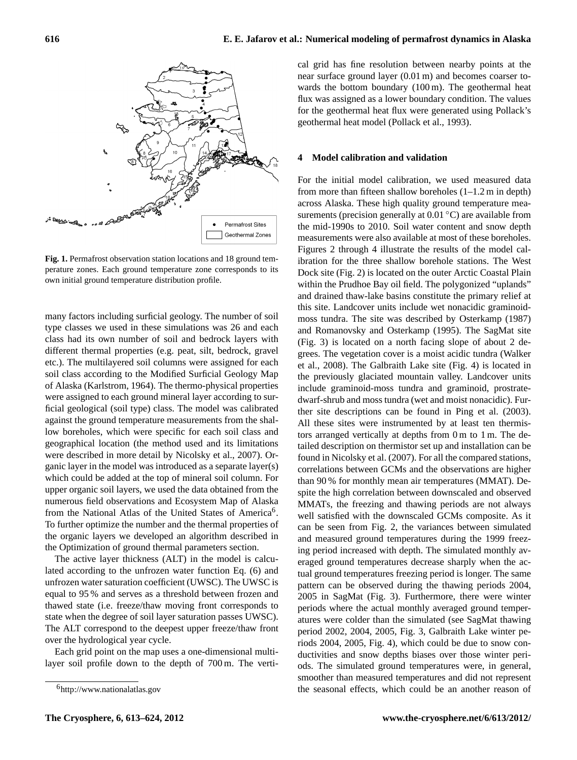

<span id="page-3-0"></span>**Fig. 1.** Permafrost observation station locations and 18 ground temperature zones. Each ground temperature zone corresponds to its own initial ground temperature distribution profile.

many factors including surficial geology. The number of soil type classes we used in these simulations was 26 and each class had its own number of soil and bedrock layers with different thermal properties (e.g. peat, silt, bedrock, gravel etc.). The multilayered soil columns were assigned for each soil class according to the Modified Surficial Geology Map of Alaska [\(Karlstrom,](#page-10-24) [1964\)](#page-10-24). The thermo-physical properties were assigned to each ground mineral layer according to surficial geological (soil type) class. The model was calibrated against the ground temperature measurements from the shallow boreholes, which were specific for each soil class and geographical location (the method used and its limitations were described in more detail by [Nicolsky et al.,](#page-10-14) [2007\)](#page-10-14). Organic layer in the model was introduced as a separate layer(s) which could be added at the top of mineral soil column. For upper organic soil layers, we used the data obtained from the numerous field observations and Ecosystem Map of Alaska from the National Atlas of the United States of America<sup>[6](#page-3-1)</sup>. To further optimize the number and the thermal properties of the organic layers we developed an algorithm described in the Optimization of ground thermal parameters section.

The active layer thickness (ALT) in the model is calculated according to the unfrozen water function Eq. [\(6\)](#page-2-0) and unfrozen water saturation coefficient (UWSC). The UWSC is equal to 95 % and serves as a threshold between frozen and thawed state (i.e. freeze/thaw moving front corresponds to state when the degree of soil layer saturation passes UWSC). The ALT correspond to the deepest upper freeze/thaw front over the hydrological year cycle.

Each grid point on the map uses a one-dimensional multilayer soil profile down to the depth of 700 m. The vertical grid has fine resolution between nearby points at the near surface ground layer (0.01 m) and becomes coarser towards the bottom boundary (100 m). The geothermal heat flux was assigned as a lower boundary condition. The values for the geothermal heat flux were generated using Pollack's geothermal heat model [\(Pollack et al.,](#page-10-25) [1993\)](#page-10-25).

#### **4 Model calibration and validation**

For the initial model calibration, we used measured data from more than fifteen shallow boreholes  $(1-1.2 \text{ m in depth})$ across Alaska. These high quality ground temperature measurements (precision generally at  $0.01\degree C$ ) are available from the mid-1990s to 2010. Soil water content and snow depth measurements were also available at most of these boreholes. Figures [2](#page-4-0) through [4](#page-4-1) illustrate the results of the model calibration for the three shallow borehole stations. The West Dock site (Fig. [2\)](#page-4-0) is located on the outer Arctic Coastal Plain within the Prudhoe Bay oil field. The polygonized "uplands" and drained thaw-lake basins constitute the primary relief at this site. Landcover units include wet nonacidic graminoidmoss tundra. The site was described by [Osterkamp](#page-10-26) [\(1987\)](#page-10-26) and [Romanovsky and Osterkamp](#page-10-8) [\(1995\)](#page-10-8). The SagMat site (Fig. [3\)](#page-4-2) is located on a north facing slope of about 2 degrees. The vegetation cover is a moist acidic tundra [\(Walker](#page-11-13) [et al.,](#page-11-13) [2008\)](#page-11-13). The Galbraith Lake site (Fig. [4\)](#page-4-1) is located in the previously glaciated mountain valley. Landcover units include graminoid-moss tundra and graminoid, prostratedwarf-shrub and moss tundra (wet and moist nonacidic). Further site descriptions can be found in [Ping et al.](#page-10-27) [\(2003\)](#page-10-27). All these sites were instrumented by at least ten thermistors arranged vertically at depths from 0 m to 1 m. The detailed description on thermistor set up and installation can be found in [Nicolsky et al.](#page-10-14) [\(2007\)](#page-10-14). For all the compared stations, correlations between GCMs and the observations are higher than 90 % for monthly mean air temperatures (MMAT). Despite the high correlation between downscaled and observed MMATs, the freezing and thawing periods are not always well satisfied with the downscaled GCMs composite. As it can be seen from Fig. [2,](#page-4-0) the variances between simulated and measured ground temperatures during the 1999 freezing period increased with depth. The simulated monthly averaged ground temperatures decrease sharply when the actual ground temperatures freezing period is longer. The same pattern can be observed during the thawing periods 2004, 2005 in SagMat (Fig. [3\)](#page-4-2). Furthermore, there were winter periods where the actual monthly averaged ground temperatures were colder than the simulated (see SagMat thawing period 2002, 2004, 2005, Fig. [3,](#page-4-2) Galbraith Lake winter periods 2004, 2005, Fig. [4\)](#page-4-1), which could be due to snow conductivities and snow depths biases over those winter periods. The simulated ground temperatures were, in general, smoother than measured temperatures and did not represent the seasonal effects, which could be an another reason of

<span id="page-3-1"></span><sup>6</sup><http://www.nationalatlas.gov>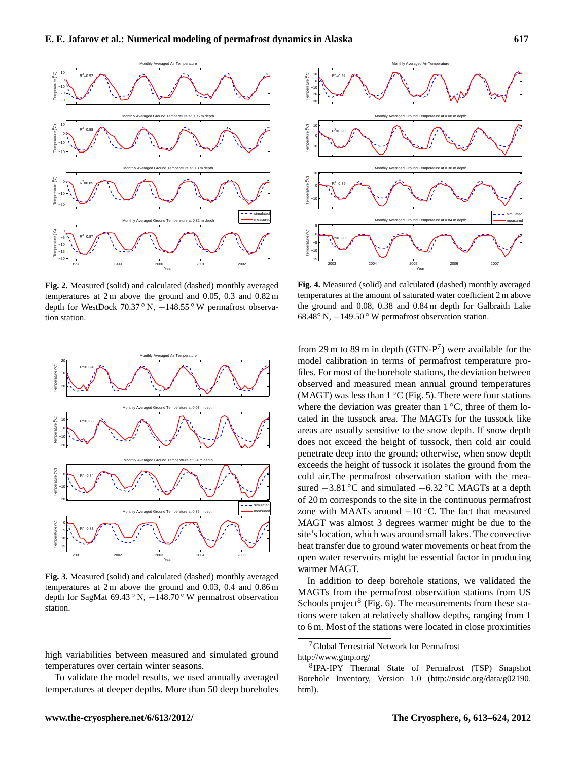

<span id="page-4-0"></span>**Fig. 2.** Measured (solid) and calculated (dashed) monthly averaged temperatures at 2 m above the ground and 0.05, 0.3 and 0.82 m depth for WestDock 70.37 ° N, -148.55 ° W permafrost observation station.



<span id="page-4-2"></span>**Fig. 3.** Measured (solid) and calculated (dashed) monthly averaged temperatures at 2 m above the ground and 0.03, 0.4 and 0.86 m depth for SagMat 69.43 ◦ N, −148.70 ◦ W permafrost observation station.

high variabilities between measured and simulated ground temperatures over certain winter seasons.

To validate the model results, we used annually averaged temperatures at deeper depths. More than 50 deep boreholes



<span id="page-4-1"></span>**Fig. 4.** Measured (solid) and calculated (dashed) monthly averaged temperatures at the amount of saturated water coefficient 2 m above the ground and 0.08, 0.38 and 0.84 m depth for Galbraith Lake 68.48◦ N, −149.50 ◦ W permafrost observation station.

from 29 m to 89 m in depth  $(GTN-P<sup>7</sup>)$  $(GTN-P<sup>7</sup>)$  $(GTN-P<sup>7</sup>)$  were available for the model calibration in terms of permafrost temperature profiles. For most of the borehole stations, the deviation between observed and measured mean annual ground temperatures (MAGT) was less than  $1 °C$  (Fig. [5\)](#page-5-0). There were four stations where the deviation was greater than  $1 °C$ , three of them located in the tussock area. The MAGTs for the tussock like areas are usually sensitive to the snow depth. If snow depth does not exceed the height of tussock, then cold air could penetrate deep into the ground; otherwise, when snow depth exceeds the height of tussock it isolates the ground from the cold air.The permafrost observation station with the measured  $-3.81 \degree C$  and simulated  $-6.32 \degree C$  MAGTs at a depth of 20 m corresponds to the site in the continuous permafrost zone with MAATs around  $-10$  °C. The fact that measured MAGT was almost 3 degrees warmer might be due to the site's location, which was around small lakes. The convective heat transfer due to ground water movements or heat from the open water reservoirs might be essential factor in producing warmer MAGT.

In addition to deep borehole stations, we validated the MAGTs from the permafrost observation stations from US Schools project<sup>[8](#page-4-4)</sup> (Fig. [6\)](#page-5-1). The measurements from these stations were taken at relatively shallow depths, ranging from 1 to 6 m. Most of the stations were located in close proximities

<span id="page-4-3"></span><sup>7</sup>Global Terrestrial Network for Permafrost

<http://www.gtnp.org/>

<span id="page-4-4"></span><sup>8</sup> IPA-IPY Thermal State of Permafrost (TSP) Snapshot Borehole Inventory, Version 1.0 [\(http://nsidc.org/data/g02190.](http://nsidc.org/data/g02190.html) [html\)](http://nsidc.org/data/g02190.html).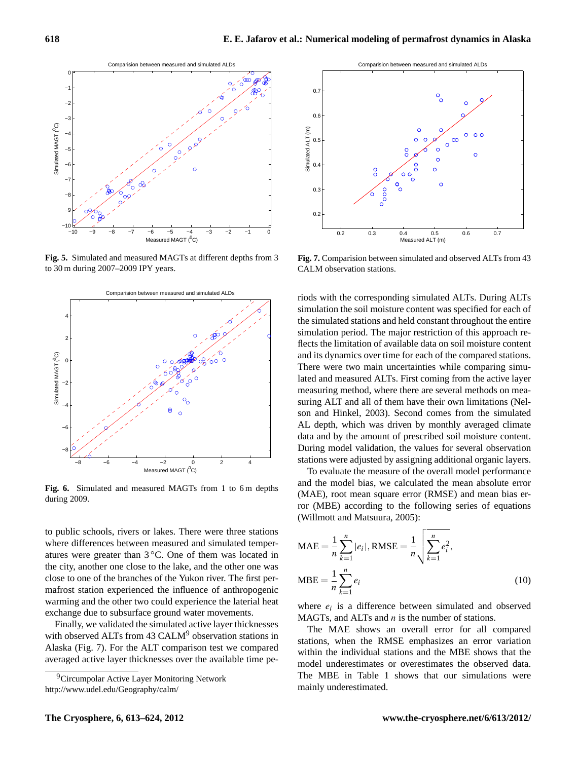

<span id="page-5-0"></span>**Fig. 5.** Simulated and measured MAGTs at different depths from 3 to 30 m during 2007–2009 IPY years.



<span id="page-5-1"></span>**Fig. 6.** Simulated and measured MAGTs from 1 to 6 m depths during 2009.

to public schools, rivers or lakes. There were three stations where differences between measured and simulated temperatures were greater than  $3^{\circ}$ C. One of them was located in the city, another one close to the lake, and the other one was close to one of the branches of the Yukon river. The first permafrost station experienced the influence of anthropogenic warming and the other two could experience the laterial heat exchange due to subsurface ground water movements.

Finally, we validated the simulated active layer thicknesses with observed ALTs from 43 CALM<sup>[9](#page-5-2)</sup> observation stations in Alaska (Fig. [7\)](#page-5-3). For the ALT comparison test we compared averaged active layer thicknesses over the available time pe-



<span id="page-5-3"></span>**Fig. 7.** Comparision between simulated and observed ALTs from 43 CALM observation stations.

riods with the corresponding simulated ALTs. During ALTs simulation the soil moisture content was specified for each of the simulated stations and held constant throughout the entire simulation period. The major restriction of this approach reflects the limitation of available data on soil moisture content and its dynamics over time for each of the compared stations. There were two main uncertainties while comparing simulated and measured ALTs. First coming from the active layer measuring method, where there are several methods on measuring ALT and all of them have their own limitations [\(Nel](#page-10-28)[son and Hinkel,](#page-10-28) [2003\)](#page-10-28). Second comes from the simulated AL depth, which was driven by monthly averaged climate data and by the amount of prescribed soil moisture content. During model validation, the values for several observation stations were adjusted by assigning additional organic layers.

To evaluate the measure of the overall model performance and the model bias, we calculated the mean absolute error (MAE), root mean square error (RMSE) and mean bias error (MBE) according to the following series of equations [\(Willmott and Matsuura,](#page-11-14) [2005\)](#page-11-14):

$$
MAE = \frac{1}{n} \sum_{k=1}^{n} |e_i|, RMSE = \frac{1}{n} \sqrt{\sum_{k=1}^{n} e_i^2},
$$
  

$$
MBE = \frac{1}{n} \sum_{k=1}^{n} e_i
$$
 (10)

where  $e_i$  is a difference between simulated and observed MAGTs, and ALTs and  $n$  is the number of stations.

The MAE shows an overall error for all compared stations, when the RMSE emphasizes an error variation within the individual stations and the MBE shows that the model underestimates or overestimates the observed data. The MBE in Table [1](#page-6-0) shows that our simulations were mainly underestimated.

<span id="page-5-2"></span><sup>&</sup>lt;sup>9</sup>Circumpolar Active Layer Monitoring Network <http://www.udel.edu/Geography/calm/>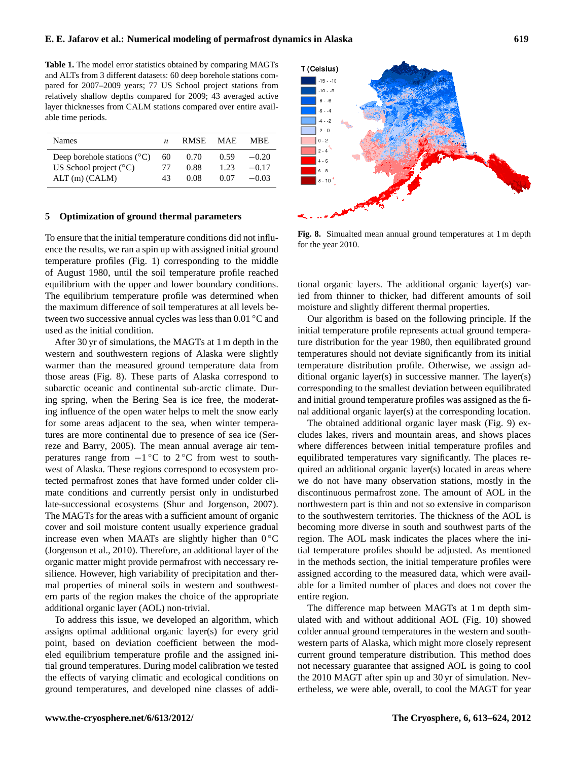<span id="page-6-0"></span>**Table 1.** The model error statistics obtained by comparing MAGTs and ALTs from 3 different datasets: 60 deep borehole stations compared for 2007–2009 years; 77 US School project stations from relatively shallow depths compared for 2009; 43 averaged active layer thicknesses from CALM stations compared over entire available time periods.

| <b>Names</b>                           | n  | <b>RMSE</b> | MAE. | <b>MBE</b> |
|----------------------------------------|----|-------------|------|------------|
| Deep borehole stations $({}^{\circ}C)$ | 60 | (0.70)      | 0.59 | $-0.20$    |
| US School project $(^{\circ}C)$        | 77 | 0.88        | 1.23 | $-0.17$    |
| $ALT(m)$ (CALM)                        | 43 | 0.08        | 0.07 | $-0.03$    |

#### **5 Optimization of ground thermal parameters**

To ensure that the initial temperature conditions did not influence the results, we ran a spin up with assigned initial ground temperature profiles (Fig. [1\)](#page-3-0) corresponding to the middle of August 1980, until the soil temperature profile reached equilibrium with the upper and lower boundary conditions. The equilibrium temperature profile was determined when the maximum difference of soil temperatures at all levels between two successive annual cycles was less than 0.01 ◦C and used as the initial condition.

After 30 yr of simulations, the MAGTs at 1 m depth in the western and southwestern regions of Alaska were slightly warmer than the measured ground temperature data from those areas (Fig. [8\)](#page-6-1). These parts of Alaska correspond to subarctic oceanic and continental sub-arctic climate. During spring, when the Bering Sea is ice free, the moderating influence of the open water helps to melt the snow early for some areas adjacent to the sea, when winter temperatures are more continental due to presence of sea ice [\(Ser](#page-11-15)[reze and Barry,](#page-11-15) [2005\)](#page-11-15). The mean annual average air temperatures range from  $-1$ °C to 2°C from west to southwest of Alaska. These regions correspond to ecosystem protected permafrost zones that have formed under colder climate conditions and currently persist only in undisturbed late-successional ecosystems [\(Shur and Jorgenson,](#page-11-16) [2007\)](#page-11-16). The MAGTs for the areas with a sufficient amount of organic cover and soil moisture content usually experience gradual increase even when MAATs are slightly higher than  $0\,^{\circ}\mathrm{C}$ [\(Jorgenson et al.,](#page-10-29) [2010\)](#page-10-29). Therefore, an additional layer of the organic matter might provide permafrost with neccessary resilience. However, high variability of precipitation and thermal properties of mineral soils in western and southwestern parts of the region makes the choice of the appropriate additional organic layer (AOL) non-trivial.

To address this issue, we developed an algorithm, which assigns optimal additional organic layer(s) for every grid point, based on deviation coefficient between the modeled equilibrium temperature profile and the assigned initial ground temperatures. During model calibration we tested the effects of varying climatic and ecological conditions on ground temperatures, and developed nine classes of addi-



<span id="page-6-1"></span>**Fig. 8.** Simualted mean annual ground temperatures at 1 m depth for the year 2010.

tional organic layers. The additional organic layer(s) varied from thinner to thicker, had different amounts of soil moisture and slightly different thermal properties.

Our algorithm is based on the following principle. If the initial temperature profile represents actual ground temperature distribution for the year 1980, then equilibrated ground temperatures should not deviate significantly from its initial temperature distribution profile. Otherwise, we assign additional organic layer(s) in successive manner. The layer(s) corresponding to the smallest deviation between equilibrated and initial ground temperature profiles was assigned as the final additional organic layer(s) at the corresponding location.

The obtained additional organic layer mask (Fig. [9\)](#page-7-0) excludes lakes, rivers and mountain areas, and shows places where differences between initial temperature profiles and equilibrated temperatures vary significantly. The places required an additional organic layer(s) located in areas where we do not have many observation stations, mostly in the discontinuous permafrost zone. The amount of AOL in the northwestern part is thin and not so extensive in comparison to the southwestern territories. The thickness of the AOL is becoming more diverse in south and southwest parts of the region. The AOL mask indicates the places where the initial temperature profiles should be adjusted. As mentioned in the methods section, the initial temperature profiles were assigned according to the measured data, which were available for a limited number of places and does not cover the entire region.

The difference map between MAGTs at 1 m depth simulated with and without additional AOL (Fig. [10\)](#page-7-1) showed colder annual ground temperatures in the western and southwestern parts of Alaska, which might more closely represent current ground temperature distribution. This method does not necessary guarantee that assigned AOL is going to cool the 2010 MAGT after spin up and 30 yr of simulation. Nevertheless, we were able, overall, to cool the MAGT for year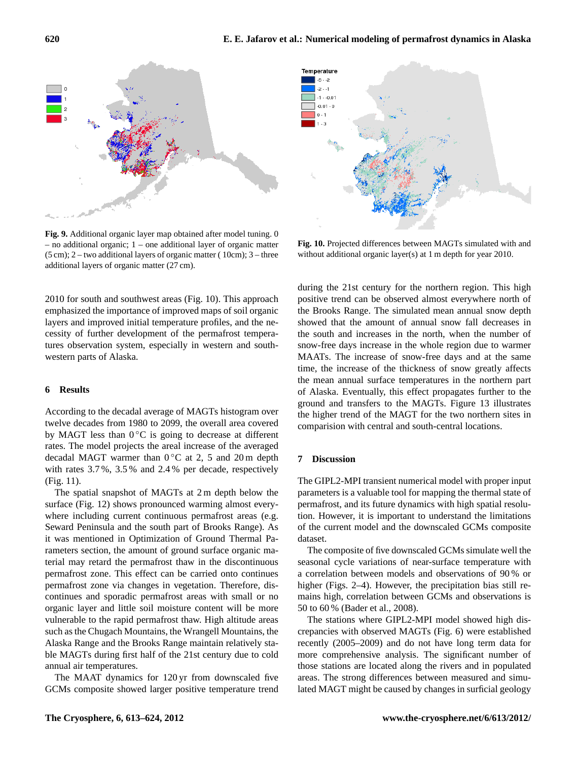

<span id="page-7-0"></span>**Fig. 9.** Additional organic layer map obtained after model tuning. 0 – no additional organic; 1 – one additional layer of organic matter  $(5 \text{ cm})$ ; 2 – two additional layers of organic matter (10cm); 3 – three additional layers of organic matter (27 cm).

2010 for south and southwest areas (Fig. [10\)](#page-7-1). This approach emphasized the importance of improved maps of soil organic layers and improved initial temperature profiles, and the necessity of further development of the permafrost temperatures observation system, especially in western and southwestern parts of Alaska.

#### **6 Results**

According to the decadal average of MAGTs histogram over twelve decades from 1980 to 2099, the overall area covered by MAGT less than  $0^{\circ}$ C is going to decrease at different rates. The model projects the areal increase of the averaged decadal MAGT warmer than  $0^{\circ}$ C at 2, 5 and 20 m depth with rates 3.7 %, 3.5 % and 2.4 % per decade, respectively (Fig. [11\)](#page-8-0).

The spatial snapshot of MAGTs at 2 m depth below the surface (Fig. [12\)](#page-8-1) shows pronounced warming almost everywhere including current continuous permafrost areas (e.g. Seward Peninsula and the south part of Brooks Range). As it was mentioned in Optimization of Ground Thermal Parameters section, the amount of ground surface organic material may retard the permafrost thaw in the discontinuous permafrost zone. This effect can be carried onto continues permafrost zone via changes in vegetation. Therefore, discontinues and sporadic permafrost areas with small or no organic layer and little soil moisture content will be more vulnerable to the rapid permafrost thaw. High altitude areas such as the Chugach Mountains, the Wrangell Mountains, the Alaska Range and the Brooks Range maintain relatively stable MAGTs during first half of the 21st century due to cold annual air temperatures.

The MAAT dynamics for 120 yr from downscaled five GCMs composite showed larger positive temperature trend



<span id="page-7-1"></span>**Fig. 10.** Projected differences between MAGTs simulated with and without additional organic layer(s) at 1 m depth for year 2010.

during the 21st century for the northern region. This high positive trend can be observed almost everywhere north of the Brooks Range. The simulated mean annual snow depth showed that the amount of annual snow fall decreases in the south and increases in the north, when the number of snow-free days increase in the whole region due to warmer MAATs. The increase of snow-free days and at the same time, the increase of the thickness of snow greatly affects the mean annual surface temperatures in the northern part of Alaska. Eventually, this effect propagates further to the ground and transfers to the MAGTs. Figure [13](#page-9-0) illustrates the higher trend of the MAGT for the two northern sites in comparision with central and south-central locations.

#### **7 Discussion**

The GIPL2-MPI transient numerical model with proper input parameters is a valuable tool for mapping the thermal state of permafrost, and its future dynamics with high spatial resolution. However, it is important to understand the limitations of the current model and the downscaled GCMs composite dataset.

The composite of five downscaled GCMs simulate well the seasonal cycle variations of near-surface temperature with a correlation between models and observations of 90 % or higher (Figs. [2–](#page-4-0)[4\)](#page-4-1). However, the precipitation bias still remains high, correlation between GCMs and observations is 50 to 60 % [\(Bader et al.,](#page-10-30) [2008\)](#page-10-30).

The stations where GIPL2-MPI model showed high discrepancies with observed MAGTs (Fig. [6\)](#page-5-1) were established recently (2005–2009) and do not have long term data for more comprehensive analysis. The significant number of those stations are located along the rivers and in populated areas. The strong differences between measured and simulated MAGT might be caused by changes in surficial geology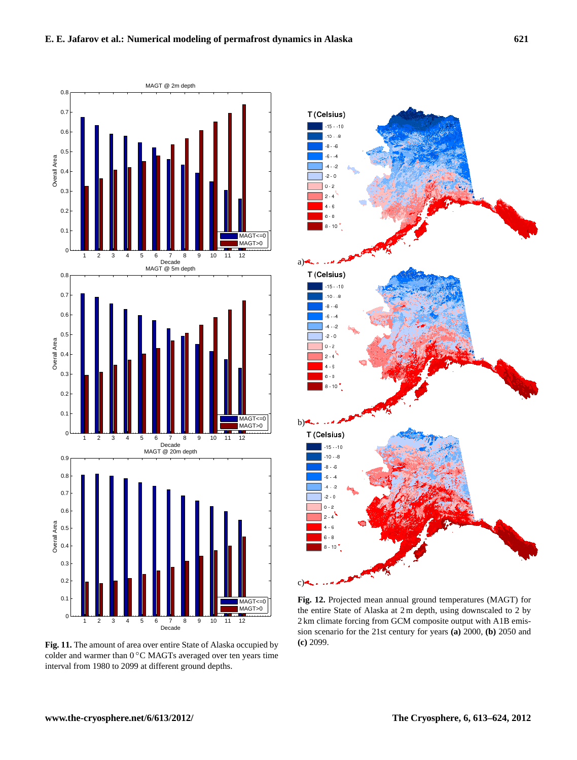

<span id="page-8-0"></span>**Fig. 11.** The amount of area over entire State of Alaska occupied by colder and warmer than 0 °C MAGTs averaged over ten years time interval from 1980 to 2099 at different ground depths.



<span id="page-8-1"></span>**Fig. 12.** Projected mean annual ground temperatures (MAGT) for the entire State of Alaska at 2 m depth, using downscaled to 2 by 2 km climate forcing from GCM composite output with A1B emission scenario for the 21st century for years **(a)** 2000, **(b)** 2050 and **(c)** 2099.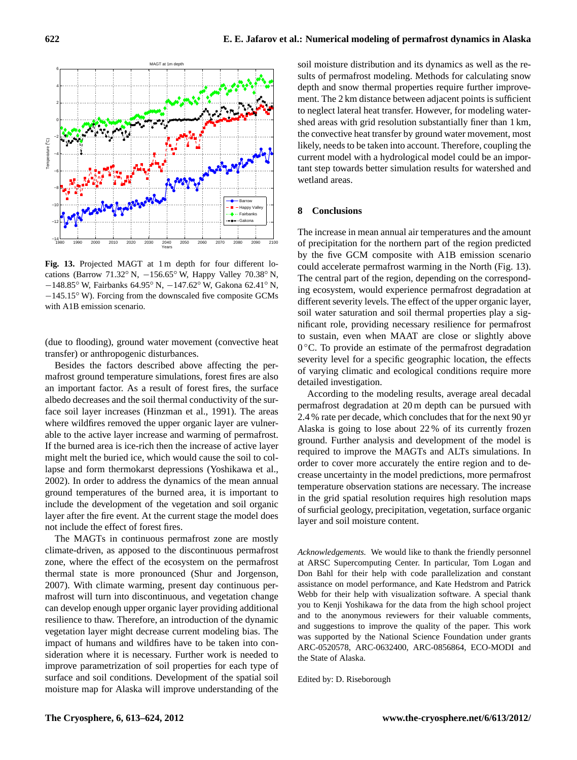

<span id="page-9-0"></span>Fig. 13. Projected MAGT at 1 m depth for four different locations (Barrow 71.32◦ N, −156.65◦ W, Happy Valley 70.38◦ N, −148.85◦ W, Fairbanks 64.95◦ N, −147.62◦ W, Gakona 62.41◦ N, −145.15◦ W). Forcing from the downscaled five composite GCMs with A1B emission scenario.

(due to flooding), ground water movement (convective heat transfer) or anthropogenic disturbances.

Besides the factors described above affecting the permafrost ground temperature simulations, forest fires are also an important factor. As a result of forest fires, the surface albedo decreases and the soil thermal conductivity of the surface soil layer increases [\(Hinzman et al.,](#page-10-31) [1991\)](#page-10-31). The areas where wildfires removed the upper organic layer are vulnerable to the active layer increase and warming of permafrost. If the burned area is ice-rich then the increase of active layer might melt the buried ice, which would cause the soil to collapse and form thermokarst depressions [\(Yoshikawa et al.,](#page-11-17) [2002\)](#page-11-17). In order to address the dynamics of the mean annual ground temperatures of the burned area, it is important to include the development of the vegetation and soil organic layer after the fire event. At the current stage the model does not include the effect of forest fires.

The MAGTs in continuous permafrost zone are mostly climate-driven, as apposed to the discontinuous permafrost zone, where the effect of the ecosystem on the permafrost thermal state is more pronounced [\(Shur and Jorgenson,](#page-11-16) [2007\)](#page-11-16). With climate warming, present day continuous permafrost will turn into discontinuous, and vegetation change can develop enough upper organic layer providing additional resilience to thaw. Therefore, an introduction of the dynamic vegetation layer might decrease current modeling bias. The impact of humans and wildfires have to be taken into consideration where it is necessary. Further work is needed to improve parametrization of soil properties for each type of surface and soil conditions. Development of the spatial soil moisture map for Alaska will improve understanding of the

soil moisture distribution and its dynamics as well as the results of permafrost modeling. Methods for calculating snow depth and snow thermal properties require further improvement. The 2 km distance between adjacent points is sufficient to neglect lateral heat transfer. However, for modeling watershed areas with grid resolution substantially finer than 1 km, the convective heat transfer by ground water movement, most likely, needs to be taken into account. Therefore, coupling the current model with a hydrological model could be an important step towards better simulation results for watershed and wetland areas.

#### **8 Conclusions**

The increase in mean annual air temperatures and the amount of precipitation for the northern part of the region predicted by the five GCM composite with A1B emission scenario could accelerate permafrost warming in the North (Fig. [13\)](#page-9-0). The central part of the region, depending on the corresponding ecosystem, would experience permafrost degradation at different severity levels. The effect of the upper organic layer, soil water saturation and soil thermal properties play a significant role, providing necessary resilience for permafrost to sustain, even when MAAT are close or slightly above 0 ◦C. To provide an estimate of the permafrost degradation severity level for a specific geographic location, the effects of varying climatic and ecological conditions require more detailed investigation.

According to the modeling results, average areal decadal permafrost degradation at 20 m depth can be pursued with 2.4 % rate per decade, which concludes that for the next 90 yr Alaska is going to lose about 22 % of its currently frozen ground. Further analysis and development of the model is required to improve the MAGTs and ALTs simulations. In order to cover more accurately the entire region and to decrease uncertainty in the model predictions, more permafrost temperature observation stations are necessary. The increase in the grid spatial resolution requires high resolution maps of surficial geology, precipitation, vegetation, surface organic layer and soil moisture content.

*Acknowledgements.* We would like to thank the friendly personnel at ARSC Supercomputing Center. In particular, Tom Logan and Don Bahl for their help with code parallelization and constant assistance on model performance, and Kate Hedstrom and Patrick Webb for their help with visualization software. A special thank you to Kenji Yoshikawa for the data from the high school project and to the anonymous reviewers for their valuable comments, and suggestions to improve the quality of the paper. This work was supported by the National Science Foundation under grants ARC-0520578, ARC-0632400, ARC-0856864, ECO-MODI and the State of Alaska.

Edited by: D. Riseborough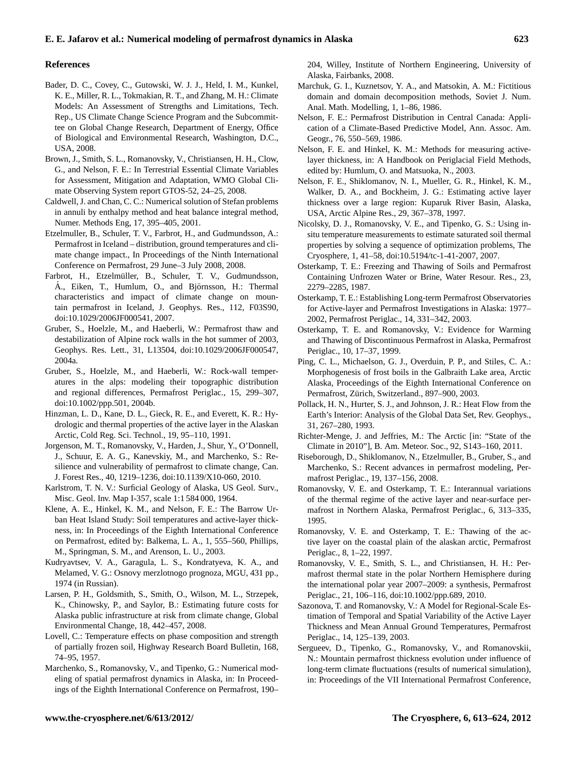#### **References**

- <span id="page-10-30"></span>Bader, D. C., Covey, C., Gutowski, W. J. J., Held, I. M., Kunkel, K. E., Miller, R. L., Tokmakian, R. T., and Zhang, M. H.: Climate Models: An Assessment of Strengths and Limitations, Tech. Rep., US Climate Change Science Program and the Subcommittee on Global Change Research, Department of Energy, Office of Biological and Environmental Research, Washington, D.C., USA, 2008.
- <span id="page-10-1"></span>Brown, J., Smith, S. L., Romanovsky, V., Christiansen, H. H., Clow, G., and Nelson, F. E.: In Terrestrial Essential Climate Variables for Assessment, Mitigation and Adaptation, WMO Global Climate Observing System report GTOS-52, 24–25, 2008.
- <span id="page-10-18"></span>Caldwell, J. and Chan, C. C.: Numerical solution of Stefan problems in annuli by enthalpy method and heat balance integral method, Numer. Methods Eng, 17, 395–405, 2001.
- <span id="page-10-16"></span>Etzelmuller, B., Schuler, T. V., Farbrot, H., and Gudmundsson, A.: Permafrost in Iceland – distribution, ground temperatures and climate change impact., In Proceedings of the Ninth International Conference on Permafrost, 29 June–3 July 2008, 2008.
- <span id="page-10-15"></span>Farbrot, H., Etzelmüller, B., Schuler, T. V., Gudmundsson, A., Eiken, T., Humlum, O., and Björnsson, H.: Thermal characteristics and impact of climate change on mountain permafrost in Iceland, J. Geophys. Res., 112, F03S90, [doi:10.1029/2006JF000541,](http://dx.doi.org/10.1029/2006JF000541) 2007.
- <span id="page-10-12"></span>Gruber, S., Hoelzle, M., and Haeberli, W.: Permafrost thaw and destabilization of Alpine rock walls in the hot summer of 2003, Geophys. Res. Lett., 31, L13504, [doi:10.1029/2006JF000547,](http://dx.doi.org/10.1029/2006JF000547) 2004a.
- <span id="page-10-13"></span>Gruber, S., Hoelzle, M., and Haeberli, W.: Rock-wall temperatures in the alps: modeling their topographic distribution and regional differences, Permafrost Periglac., 15, 299–307, [doi:10.1002/ppp.501,](http://dx.doi.org/10.1002/ppp.501) 2004b.
- <span id="page-10-31"></span>Hinzman, L. D., Kane, D. L., Gieck, R. E., and Everett, K. R.: Hydrologic and thermal properties of the active layer in the Alaskan Arctic, Cold Reg. Sci. Technol., 19, 95–110, 1991.
- <span id="page-10-29"></span>Jorgenson, M. T., Romanovsky, V., Harden, J., Shur, Y., O'Donnell, J., Schuur, E. A. G., Kanevskiy, M., and Marchenko, S.: Resilience and vulnerability of permafrost to climate change, Can. J. Forest Res., 40, 1219–1236, [doi:10.1139/X10-060,](http://dx.doi.org/10.1139/X10-060) 2010.
- <span id="page-10-24"></span>Karlstrom, T. N. V.: Surficial Geology of Alaska, US Geol. Surv., Misc. Geol. Inv. Map I-357, scale 1:1 584 000, 1964.
- <span id="page-10-10"></span>Klene, A. E., Hinkel, K. M., and Nelson, F. E.: The Barrow Urban Heat Island Study: Soil temperatures and active-layer thickness, in: In Proceedings of the Eighth International Conference on Permafrost, edited by: Balkema, L. A., 1, 555–560, Phillips, M., Springman, S. M., and Arenson, L. U., 2003.
- <span id="page-10-7"></span>Kudryavtsev, V. A., Garagula, L. S., Kondratyeva, K. A., and Melamed, V. G.: Osnovy merzlotnogo prognoza, MGU, 431 pp., 1974 (in Russian).
- <span id="page-10-3"></span>Larsen, P. H., Goldsmith, S., Smith, O., Wilson, M. L., Strzepek, K., Chinowsky, P., and Saylor, B.: Estimating future costs for Alaska public infrastructure at risk from climate change, Global Environmental Change, 18, 442–457, 2008.
- <span id="page-10-21"></span>Lovell, C.: Temperature effects on phase composition and strength of partially frozen soil, Highway Research Board Bulletin, 168, 74–95, 1957.
- <span id="page-10-17"></span>Marchenko, S., Romanovsky, V., and Tipenko, G.: Numerical modeling of spatial permafrost dynamics in Alaska, in: In Proceedings of the Eighth International Conference on Permafrost, 190–

204, Willey, Institute of Northern Engineering, University of Alaska, Fairbanks, 2008.

- <span id="page-10-20"></span>Marchuk, G. I., Kuznetsov, Y. A., and Matsokin, A. M.: Fictitious domain and domain decomposition methods, Soviet J. Num. Anal. Math. Modelling, 1, 1–86, 1986.
- <span id="page-10-4"></span>Nelson, F. E.: Permafrost Distribution in Central Canada: Application of a Climate-Based Predictive Model, Ann. Assoc. Am. Geogr., 76, 550–569, 1986.
- <span id="page-10-28"></span>Nelson, F. E. and Hinkel, K. M.: Methods for measuring activelayer thickness, in: A Handbook on Periglacial Field Methods, edited by: Humlum, O. and Matsuoka, N., 2003.
- <span id="page-10-6"></span>Nelson, F. E., Shiklomanov, N. I., Mueller, G. R., Hinkel, K. M., Walker, D. A., and Bockheim, J. G.: Estimating active layer thickness over a large region: Kuparuk River Basin, Alaska, USA, Arctic Alpine Res., 29, 367–378, 1997.
- <span id="page-10-14"></span>Nicolsky, D. J., Romanovsky, V. E., and Tipenko, G. S.: Using insitu temperature measurements to estimate saturated soil thermal properties by solving a sequence of optimization problems, The Cryosphere, 1, 41–58, [doi:10.5194/tc-1-41-2007,](http://dx.doi.org/10.5194/tc-1-41-2007) 2007.
- <span id="page-10-26"></span>Osterkamp, T. E.: Freezing and Thawing of Soils and Permafrost Containing Unfrozen Water or Brine, Water Resour. Res., 23, 2279–2285, 1987.
- <span id="page-10-23"></span>Osterkamp, T. E.: Establishing Long-term Permafrost Observatories for Active-layer and Permafrost Investigations in Alaska: 1977– 2002, Permafrost Periglac., 14, 331–342, 2003.
- <span id="page-10-22"></span>Osterkamp, T. E. and Romanovsky, V.: Evidence for Warming and Thawing of Discontinuous Permafrost in Alaska, Permafrost Periglac., 10, 17–37, 1999.
- <span id="page-10-27"></span>Ping, C. L., Michaelson, G. J., Overduin, P. P., and Stiles, C. A.: Morphogenesis of frost boils in the Galbraith Lake area, Arctic Alaska, Proceedings of the Eighth International Conference on Permafrost, Zürich, Switzerland., 897-900, 2003.
- <span id="page-10-25"></span>Pollack, H. N., Hurter, S. J., and Johnson, J. R.: Heat Flow from the Earth's Interior: Analysis of the Global Data Set, Rev. Geophys., 31, 267–280, 1993.
- <span id="page-10-0"></span>Richter-Menge, J. and Jeffries, M.: The Arctic [in: "State of the Climate in 2010"], B. Am. Meteor. Soc., 92, S143–160, 2011.
- <span id="page-10-5"></span>Riseborough, D., Shiklomanov, N., Etzelmuller, B., Gruber, S., and Marchenko, S.: Recent advances in permafrost modeling, Permafrost Periglac., 19, 137–156, 2008.
- <span id="page-10-8"></span>Romanovsky, V. E. and Osterkamp, T. E.: Interannual variations of the thermal regime of the active layer and near-surface permafrost in Northern Alaska, Permafrost Periglac., 6, 313–335, 1995.
- <span id="page-10-9"></span>Romanovsky, V. E. and Osterkamp, T. E.: Thawing of the active layer on the coastal plain of the alaskan arctic, Permafrost Periglac., 8, 1–22, 1997.
- <span id="page-10-2"></span>Romanovsky, V. E., Smith, S. L., and Christiansen, H. H.: Permafrost thermal state in the polar Northern Hemisphere during the international polar year 2007–2009: a synthesis, Permafrost Periglac., 21, 106–116, [doi:10.1002/ppp.689,](http://dx.doi.org/10.1002/ppp.689) 2010.
- <span id="page-10-11"></span>Sazonova, T. and Romanovsky, V.: A Model for Regional-Scale Estimation of Temporal and Spatial Variability of the Active Layer Thickness and Mean Annual Ground Temperatures, Permafrost Periglac., 14, 125–139, 2003.
- <span id="page-10-19"></span>Sergueev, D., Tipenko, G., Romanovsky, V., and Romanovskii, N.: Mountain permafrost thickness evolution under influence of long-term climate fluctuations (results of numerical simulation), in: Proceedings of the VII International Permafrost Conference,